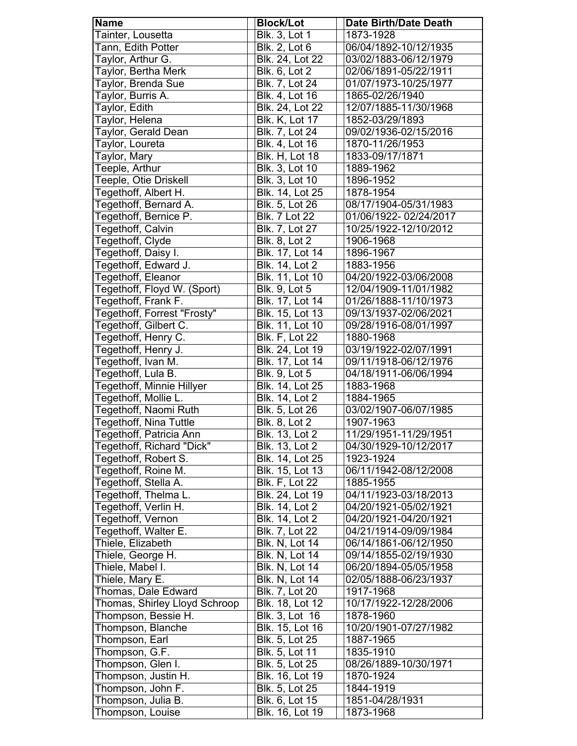| <b>Name</b>                   | <b>Block/Lot</b>       | <b>Date Birth/Date Death</b> |
|-------------------------------|------------------------|------------------------------|
| Tainter, Lousetta             | <b>Blk. 3, Lot 1</b>   | 1873-1928                    |
| Tann, Edith Potter            | <b>Blk. 2, Lot 6</b>   | 06/04/1892-10/12/1935        |
| Taylor, Arthur G.             | Blk. 24, Lot 22        | 03/02/1883-06/12/1979        |
| Taylor, Bertha Merk           | Blk. 6, Lot 2          | 02/06/1891-05/22/1911        |
| Taylor, Brenda Sue            | Blk. 7, Lot 24         | 01/07/1973-10/25/1977        |
| Taylor, Burris A.             | Blk. 4, Lot 16         | 1865-02/26/1940              |
| Taylor, Edith                 | Blk. 24, Lot 22        | 12/07/1885-11/30/1968        |
| Taylor, Helena                | <b>Blk. K, Lot 17</b>  | 1852-03/29/1893              |
| Taylor, Gerald Dean           | Blk. 7, Lot 24         | 09/02/1936-02/15/2016        |
| Taylor, Loureta               | Blk. 4, Lot 16         | 1870-11/26/1953              |
| Taylor, Mary                  | <b>Blk. H, Lot 18</b>  | 1833-09/17/1871              |
| Teeple, Arthur                | Blk. 3, Lot 10         | 1889-1962                    |
| Teeple, Otie Driskell         | Blk. 3, Lot 10         | 1896-1952                    |
| Tegethoff, Albert H.          | Blk. 14, Lot 25        | 1878-1954                    |
| Tegethoff, Bernard A.         | Blk. 5, Lot 26         | 08/17/1904-05/31/1983        |
| Tegethoff, Bernice P.         | <b>Blk. 7 Lot 22</b>   | 01/06/1922-02/24/2017        |
| Tegethoff, Calvin             | Blk. 7, Lot 27         | 10/25/1922-12/10/2012        |
| Tegethoff, Clyde              | <b>Blk. 8, Lot 2</b>   | 1906-1968                    |
| Tegethoff, Daisy I.           | Blk. 17, Lot 14        | 1896-1967                    |
| Tegethoff, Edward J.          | <b>Blk. 14, Lot 2</b>  | 1883-1956                    |
| Tegethoff, Eleanor            | Blk. 11, Lot 10        | 04/20/1922-03/06/2008        |
|                               |                        |                              |
| Tegethoff, Floyd W. (Sport)   | <b>Blk. 9, Lot 5</b>   | 12/04/1909-11/01/1982        |
| Tegethoff, Frank F.           | Blk. 17, Lot 14        | 01/26/1888-11/10/1973        |
| Tegethoff, Forrest "Frosty"   | <b>Blk. 15, Lot 13</b> | 09/13/1937-02/06/2021        |
| Tegethoff, Gilbert C.         | Blk. 11, Lot 10        | 09/28/1916-08/01/1997        |
| Tegethoff, Henry C.           | <b>Blk. F, Lot 22</b>  | 1880-1968                    |
| Tegethoff, Henry J.           | Blk. 24, Lot 19        | 03/19/1922-02/07/1991        |
| Tegethoff, Ivan M.            | Blk. 17, Lot 14        | 09/11/1918-06/12/1976        |
| Tegethoff, Lula B.            | Blk. 9, Lot 5          | 04/18/1911-06/06/1994        |
| Tegethoff, Minnie Hillyer     | Blk. 14, Lot 25        | 1883-1968                    |
| Tegethoff, Mollie L.          | <b>Blk. 14, Lot 2</b>  | 1884-1965                    |
| Tegethoff, Naomi Ruth         | <b>Blk. 5, Lot 26</b>  | 03/02/1907-06/07/1985        |
| Tegethoff, Nina Tuttle        | Blk. 8, Lot 2          | 1907-1963                    |
| Tegethoff, Patricia Ann       | Blk. 13, Lot 2         | 11/29/1951-11/29/1951        |
| Tegethoff, Richard "Dick"     | Blk. 13, Lot 2         | 04/30/1929-10/12/2017        |
| Tegethoff, Robert S.          | Blk. 14, Lot 25        | 1923-1924                    |
| Tegethoff, Roine M.           | Blk. 15, Lot 13        | 06/11/1942-08/12/2008        |
| Tegethoff, Stella A.          | <b>Blk. F, Lot 22</b>  | 1885-1955                    |
| Tegethoff, Thelma L.          | Blk. 24, Lot 19        | 04/11/1923-03/18/2013        |
| Tegethoff, Verlin H.          | Blk. 14, Lot 2         | 04/20/1921-05/02/1921        |
| Tegethoff, Vernon             | Blk. 14, Lot 2         | 04/20/1921-04/20/1921        |
| Tegethoff, Walter E.          | <b>Blk. 7, Lot 22</b>  | 04/21/1914-09/09/1984        |
| Thiele, Elizabeth             | <b>Blk. N, Lot 14</b>  | 06/14/1861-06/12/1950        |
| Thiele, George H.             | <b>Blk. N, Lot 14</b>  | 09/14/1855-02/19/1930        |
| Thiele, Mabel I.              | <b>Blk. N, Lot 14</b>  | 06/20/1894-05/05/1958        |
| Thiele, Mary E.               | <b>Blk. N, Lot 14</b>  | 02/05/1888-06/23/1937        |
| Thomas, Dale Edward           | <b>Blk. 7, Lot 20</b>  | 1917-1968                    |
| Thomas, Shirley Lloyd Schroop | Blk. 18, Lot 12        | 10/17/1922-12/28/2006        |
| Thompson, Bessie H.           | Blk. 3, Lot 16         | 1878-1960                    |
| Thompson, Blanche             | Blk. 15, Lot 16        | 10/20/1901-07/27/1982        |
| Thompson, Earl                | Blk. 5, Lot 25         | 1887-1965                    |
| Thompson, G.F.                | Blk. 5, Lot 11         | 1835-1910                    |
| Thompson, Glen I.             | Blk. 5, Lot 25         | 08/26/1889-10/30/1971        |
| Thompson, Justin H.           | <b>Blk.</b> 16, Lot 19 | 1870-1924                    |
| Thompson, John F.             | Blk. 5, Lot 25         | 1844-1919                    |
| Thompson, Julia B.            | Blk. 6, Lot 15         | 1851-04/28/1931              |
| Thompson, Louise              | Blk. 16, Lot 19        | 1873-1968                    |
|                               |                        |                              |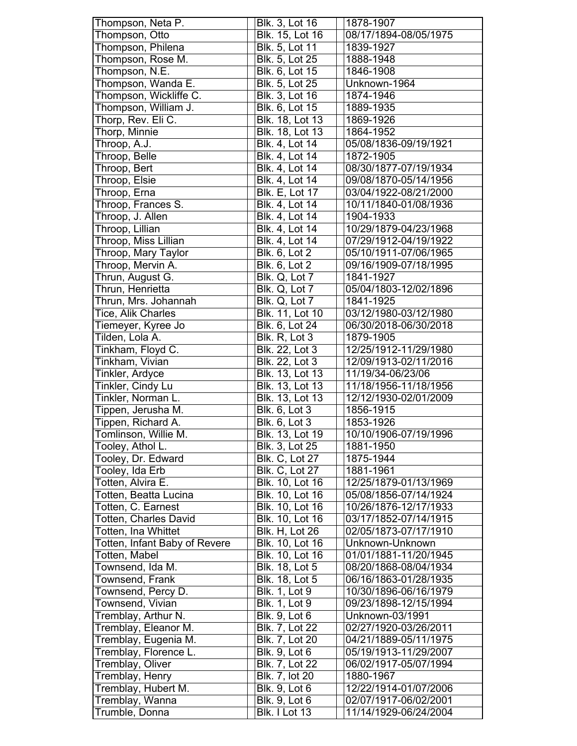| Thompson, Neta P.             | Blk. 3, Lot 16        | 1878-1907             |
|-------------------------------|-----------------------|-----------------------|
| Thompson, Otto                | Blk. 15, Lot 16       | 08/17/1894-08/05/1975 |
| Thompson, Philena             | Blk. 5, Lot 11        | 1839-1927             |
| Thompson, Rose M.             | Blk. 5, Lot 25        | 1888-1948             |
| Thompson, N.E.                | Blk. 6, Lot 15        | 1846-1908             |
| Thompson, Wanda E.            | Blk. 5, Lot 25        | Unknown-1964          |
| Thompson, Wickliffe C.        | Blk. 3, Lot 16        | 1874-1946             |
| Thompson, William J.          | Blk. 6, Lot 15        | 1889-1935             |
| Thorp, Rev. Eli C.            | Blk. 18, Lot 13       | 1869-1926             |
| Thorp, Minnie                 | Blk. 18, Lot 13       | 1864-1952             |
| Throop, A.J.                  | <b>Blk. 4, Lot 14</b> | 05/08/1836-09/19/1921 |
| Throop, Belle                 | Blk. 4, Lot 14        | 1872-1905             |
| Throop, Bert                  | Blk. 4, Lot 14        | 08/30/1877-07/19/1934 |
| Throop, Elsie                 | Blk. 4, Lot 14        | 09/08/1870-05/14/1956 |
| Throop, Erna                  | <b>Blk. E, Lot 17</b> | 03/04/1922-08/21/2000 |
| Throop, Frances S.            | Blk. 4, Lot 14        | 10/11/1840-01/08/1936 |
| Throop, J. Allen              | Blk. 4, Lot 14        | 1904-1933             |
| Throop, Lillian               | <b>Blk. 4, Lot 14</b> | 10/29/1879-04/23/1968 |
| Throop, Miss Lillian          | Blk. 4, Lot 14        | 07/29/1912-04/19/1922 |
| Throop, Mary Taylor           | <b>Blk. 6, Lot 2</b>  | 05/10/1911-07/06/1965 |
| Throop, Mervin A.             | Blk. 6, Lot 2         | 09/16/1909-07/18/1995 |
| Thrun, August G.              | Blk. Q, Lot 7         | 1841-1927             |
| Thrun, Henrietta              | Blk. Q, Lot 7         | 05/04/1803-12/02/1896 |
| Thrun, Mrs. Johannah          | Blk. Q, Lot 7         | 1841-1925             |
| Tice, Alik Charles            | Blk. 11, Lot 10       | 03/12/1980-03/12/1980 |
| Tiemeyer, Kyree Jo            | Blk. 6, Lot 24        | 06/30/2018-06/30/2018 |
| Tilden, Lola A.               | Blk. R, Lot 3         | 1879-1905             |
| Tinkham, Floyd C.             | Blk. 22, Lot 3        | 12/25/1912-11/29/1980 |
| Tinkham, Vivian               | Blk. 22, Lot 3        | 12/09/1913-02/11/2016 |
| Tinkler, Ardyce               | Blk. 13, Lot 13       | 11/19/34-06/23/06     |
| Tinkler, Cindy Lu             | Blk. 13, Lot 13       | 11/18/1956-11/18/1956 |
| Tinkler, Norman L.            | Blk. 13, Lot 13       | 12/12/1930-02/01/2009 |
| Tippen, Jerusha M.            | <b>Blk. 6, Lot 3</b>  | 1856-1915             |
| Tippen, Richard A.            | <b>Blk. 6, Lot 3</b>  | 1853-1926             |
| Tomlinson, Willie M.          | Blk. 13, Lot 19       | 10/10/1906-07/19/1996 |
| Tooley, Athol L.              | Blk. 3, Lot 25        | 1881-1950             |
| Tooley, Dr. Edward            | <b>Blk. C, Lot 27</b> | 1875-1944             |
| Tooley, Ida Erb               | <b>Blk. C, Lot 27</b> | 1881-1961             |
| Totten, Alvira E.             | Blk. 10, Lot 16       | 12/25/1879-01/13/1969 |
| Totten, Beatta Lucina         | Blk. 10, Lot 16       | 05/08/1856-07/14/1924 |
| Totten, C. Earnest            | Blk. 10, Lot 16       | 10/26/1876-12/17/1933 |
| <b>Totten, Charles David</b>  | Blk. 10, Lot 16       | 03/17/1852-07/14/1915 |
| Totten, Ina Whittet           | <b>Blk. H, Lot 26</b> | 02/05/1873-07/17/1910 |
| Totten, Infant Baby of Revere | Blk. 10, Lot 16       | Unknown-Unknown       |
| Totten, Mabel                 | Blk. 10, Lot 16       | 01/01/1881-11/20/1945 |
| Townsend, Ida M.              | Blk. 18, Lot 5        | 08/20/1868-08/04/1934 |
| Townsend, Frank               | Blk. 18, Lot 5        | 06/16/1863-01/28/1935 |
| Townsend, Percy D.            | <b>Blk. 1, Lot 9</b>  | 10/30/1896-06/16/1979 |
| Townsend, Vivian              | <b>Blk. 1, Lot 9</b>  | 09/23/1898-12/15/1994 |
| Tremblay, Arthur N.           | Blk. 9, Lot 6         | Unknown-03/1991       |
| Tremblay, Eleanor M.          | Blk. 7, Lot 22        | 02/27/1920-03/26/2011 |
| Tremblay, Eugenia M.          | Blk. 7, Lot 20        | 04/21/1889-05/11/1975 |
| Tremblay, Florence L.         | Blk. 9, Lot 6         | 05/19/1913-11/29/2007 |
| Tremblay, Oliver              | Blk. 7, Lot 22        | 06/02/1917-05/07/1994 |
| Tremblay, Henry               | Blk. 7, lot 20        | 1880-1967             |
| Tremblay, Hubert M.           | <b>Blk. 9, Lot 6</b>  | 12/22/1914-01/07/2006 |
| Tremblay, Wanna               | Blk. 9, Lot 6         | 02/07/1917-06/02/2001 |
| Trumble, Donna                | Blk. I Lot 13         | 11/14/1929-06/24/2004 |
|                               |                       |                       |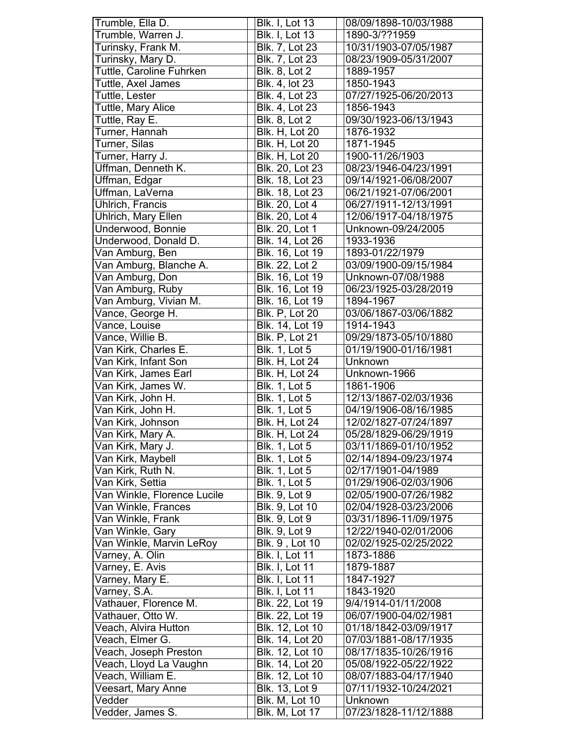| Trumble, Ella D.            | <b>Blk. I, Lot 13</b> | 08/09/1898-10/03/1988 |
|-----------------------------|-----------------------|-----------------------|
| Trumble, Warren J.          | <b>Blk. I, Lot 13</b> | 1890-3/??1959         |
| Turinsky, Frank M.          | Blk. 7, Lot 23        | 10/31/1903-07/05/1987 |
| Turinsky, Mary D.           | Blk. 7, Lot 23        | 08/23/1909-05/31/2007 |
| Tuttle, Caroline Fuhrken    | <b>Blk. 8, Lot 2</b>  | 1889-1957             |
| Tuttle, Axel James          | Blk. 4, lot 23        | 1850-1943             |
| Tuttle, Lester              | Blk. 4, Lot 23        | 07/27/1925-06/20/2013 |
| Tuttle, Mary Alice          | Blk. 4, Lot 23        | 1856-1943             |
| Tuttle, Ray E.              | Blk. 8, Lot 2         | 09/30/1923-06/13/1943 |
| Turner, Hannah              | <b>Blk. H. Lot 20</b> | 1876-1932             |
| Turner, Silas               | <b>Blk. H, Lot 20</b> | 1871-1945             |
| Turner, Harry J.            | <b>Blk. H, Lot 20</b> | 1900-11/26/1903       |
| Uffman, Denneth K.          | Blk. 20, Lot 23       | 08/23/1946-04/23/1991 |
| Uffman, Edgar               | Blk. 18, Lot 23       | 09/14/1921-06/08/2007 |
| Uffman, LaVerna             | Blk. 18, Lot 23       | 06/21/1921-07/06/2001 |
| Uhlrich, Francis            | Blk. 20, Lot 4        | 06/27/1911-12/13/1991 |
| Uhlrich, Mary Ellen         | Blk. 20, Lot 4        | 12/06/1917-04/18/1975 |
| Underwood, Bonnie           | Blk. 20, Lot 1        | Unknown-09/24/2005    |
| Underwood, Donald D.        | Blk. 14, Lot 26       | 1933-1936             |
| Van Amburg, Ben             | Blk. 16, Lot 19       | 1893-01/22/1979       |
| Van Amburg, Blanche A.      | <b>Blk. 22, Lot 2</b> | 03/09/1900-09/15/1984 |
| Van Amburg, Don             | Blk. 16, Lot 19       | Unknown-07/08/1988    |
| Van Amburg, Ruby            | Blk. 16, Lot 19       | 06/23/1925-03/28/2019 |
| Van Amburg, Vivian M.       | Blk. 16, Lot 19       | 1894-1967             |
| Vance, George H.            | <b>Blk. P, Lot 20</b> | 03/06/1867-03/06/1882 |
| Vance, Louise               | Blk. 14, Lot 19       | 1914-1943             |
| Vance, Willie B.            | <b>Blk. P, Lot 21</b> | 09/29/1873-05/10/1880 |
| Van Kirk, Charles E.        | <b>Blk. 1, Lot 5</b>  | 01/19/1900-01/16/1981 |
| Van Kirk, Infant Son        | <b>Blk. H, Lot 24</b> | Unknown               |
| Van Kirk, James Earl        | <b>Blk. H, Lot 24</b> | Unknown-1966          |
| Van Kirk, James W.          | <b>Blk. 1, Lot 5</b>  | 1861-1906             |
| Van Kirk, John H.           | <b>Blk. 1, Lot 5</b>  | 12/13/1867-02/03/1936 |
| Van Kirk, John H.           | <b>Blk.</b> 1, Lot 5  | 04/19/1906-08/16/1985 |
| Van Kirk, Johnson           | Blk. H, Lot 24        | 12/02/1827-07/24/1897 |
| Van Kirk, Mary A.           | <b>Blk. H. Lot 24</b> | 05/28/1829-06/29/1919 |
| Van Kirk, Mary J.           | <b>Blk. 1, Lot 5</b>  | 03/11/1869-01/10/1952 |
| Van Kirk, Maybell           | <b>Blk. 1, Lot 5</b>  | 02/14/1894-09/23/1974 |
| Van Kirk, Ruth N.           | <b>Blk. 1, Lot 5</b>  | 02/17/1901-04/1989    |
| Van Kirk, Settia            | <b>Blk. 1, Lot 5</b>  | 01/29/1906-02/03/1906 |
| Van Winkle, Florence Lucile | <b>Blk. 9, Lot 9</b>  | 02/05/1900-07/26/1982 |
| Van Winkle, Frances         | Blk. 9, Lot 10        | 02/04/1928-03/23/2006 |
| Van Winkle, Frank           | <b>Blk. 9, Lot 9</b>  | 03/31/1896-11/09/1975 |
| Van Winkle, Gary            | <b>Blk. 9, Lot 9</b>  | 12/22/1940-02/01/2006 |
| Van Winkle, Marvin LeRoy    | Blk. 9, Lot 10        | 02/02/1925-02/25/2022 |
| Varney, A. Olin             | <b>Blk. I, Lot 11</b> | 1873-1886             |
| Varney, E. Avis             | <b>Blk. I, Lot 11</b> | 1879-1887             |
| Varney, Mary E.             | <b>Blk. I, Lot 11</b> | 1847-1927             |
| Varney, S.A.                | <b>Blk. I, Lot 11</b> | 1843-1920             |
| Vathauer, Florence M.       | Blk. 22, Lot 19       | 9/4/1914-01/11/2008   |
| Vathauer, Otto W.           | Blk. 22, Lot 19       | 06/07/1900-04/02/1981 |
| Veach, Alvira Hutton        | Blk. 12, Lot 10       | 01/18/1842-03/09/1917 |
| Veach, Elmer G.             | Blk. 14, Lot 20       | 07/03/1881-08/17/1935 |
| Veach, Joseph Preston       | Blk. 12, Lot 10       | 08/17/1835-10/26/1916 |
| Veach, Lloyd La Vaughn      | Blk. 14, Lot 20       | 05/08/1922-05/22/1922 |
| Veach, William E.           | Blk. 12, Lot 10       | 08/07/1883-04/17/1940 |
| Veesart, Mary Anne          | Blk. 13, Lot 9        | 07/11/1932-10/24/2021 |
| Vedder                      |                       |                       |
|                             | Blk. M, Lot 10        | Unknown               |